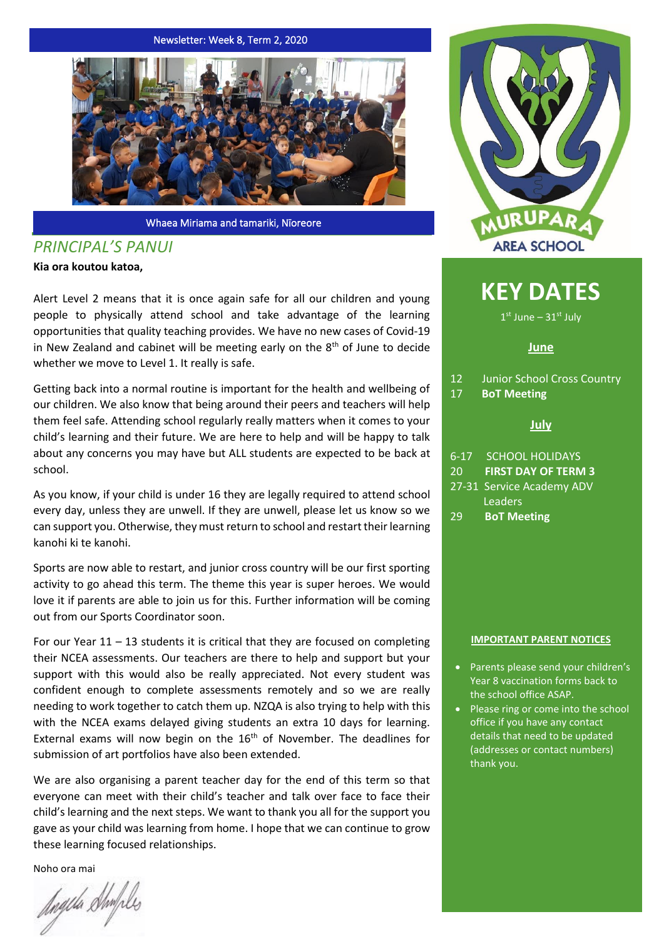Newsletter: Week 8, Term 2, 2020



Whaea Miriama and tamariki, Nīoreore

# *PRINCIPAL'S PANUI*

**Kia ora koutou katoa,**

Alert Level 2 means that it is once again safe for all our children and young people to physically attend school and take advantage of the learning opportunities that quality teaching provides. We have no new cases of Covid-19 in New Zealand and cabinet will be meeting early on the  $8<sup>th</sup>$  of June to decide whether we move to Level 1. It really is safe.

Getting back into a normal routine is important for the health and wellbeing of our children. We also know that being around their peers and teachers will help them feel safe. Attending school regularly really matters when it comes to your child's learning and their future. We are here to help and will be happy to talk about any concerns you may have but ALL students are expected to be back at school.

As you know, if your child is under 16 they are legally required to attend school every day, unless they are unwell. If they are unwell, please let us know so we can support you. Otherwise, they must return to school and restart their learning kanohi ki te kanohi.

Sports are now able to restart, and junior cross country will be our first sporting activity to go ahead this term. The theme this year is super heroes. We would love it if parents are able to join us for this. Further information will be coming out from our Sports Coordinator soon.

For our Year  $11 - 13$  students it is critical that they are focused on completing their NCEA assessments. Our teachers are there to help and support but your support with this would also be really appreciated. Not every student was confident enough to complete assessments remotely and so we are really needing to work together to catch them up. NZQA is also trying to help with this with the NCEA exams delayed giving students an extra 10 days for learning. External exams will now begin on the  $16<sup>th</sup>$  of November. The deadlines for submission of art portfolios have also been extended.

We are also organising a parent teacher day for the end of this term so that everyone can meet with their child's teacher and talk over face to face their child's learning and the next steps. We want to thank you all for the support you gave as your child was learning from home. I hope that we can continue to grow these learning focused relationships.

Noho ora mai

Angela Shifiles



# **KEY DATES**

1st June - 31st July

## **June**

- 12 Junior School Cross Country
- 17 **BoT Meeting**

## **July**

- 6-17 SCHOOL HOLIDAYS
- 20 **FIRST DAY OF TERM 3**
- 27-31 Service Academy ADV Leaders
- 29 **BoT Meeting**

#### **IMPORTANT PARENT NOTICES**

- Parents please send your children's Year 8 vaccination forms back to the school office ASAP.
- Please ring or come into the school office if you have any contact details that need to be updated (addresses or contact numbers) thank you.